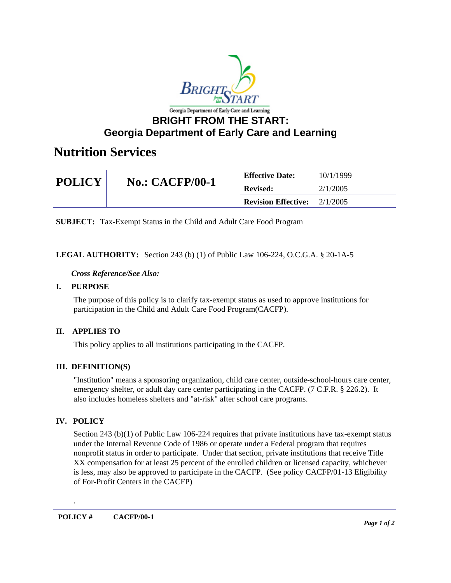

# **Georgia Department of Early Care and Learning**

# **Nutrition Services**

|               |                        | <b>Effective Date:</b>     | 10/1/1999 |
|---------------|------------------------|----------------------------|-----------|
| <b>POLICY</b> | <b>No.: CACFP/00-1</b> | <b>Revised:</b>            | 2/1/2005  |
|               |                        | <b>Revision Effective:</b> | 2/1/2005  |

**SUBJECT:** Tax-Exempt Status in the Child and Adult Care Food Program

#### **LEGAL AUTHORITY:** Section 243 (b) (1) of Public Law 106-224, O.C.G.A. § 20-1A-5

#### *Cross Reference/See Also:*

#### **I. PURPOSE**

The purpose of this policy is to clarify tax-exempt status as used to approve institutions for participation in the Child and Adult Care Food Program(CACFP).

# **II. APPLIES TO**

This policy applies to all institutions participating in the CACFP.

# **III. DEFINITION(S)**

"Institution" means a sponsoring organization, child care center, outside-school-hours care center, emergency shelter, or adult day care center participating in the CACFP. (7 C.F.R. § 226.2). It also includes homeless shelters and "at-risk" after school care programs.

# **IV. POLICY**

.

Section 243 (b)(1) of Public Law 106-224 requires that private institutions have tax-exempt status under the Internal Revenue Code of 1986 or operate under a Federal program that requires nonprofit status in order to participate. Under that section, private institutions that receive Title XX compensation for at least 25 percent of the enrolled children or licensed capacity, whichever is less, may also be approved to participate in the CACFP. (See policy CACFP/01-13 Eligibility of For-Profit Centers in the CACFP)